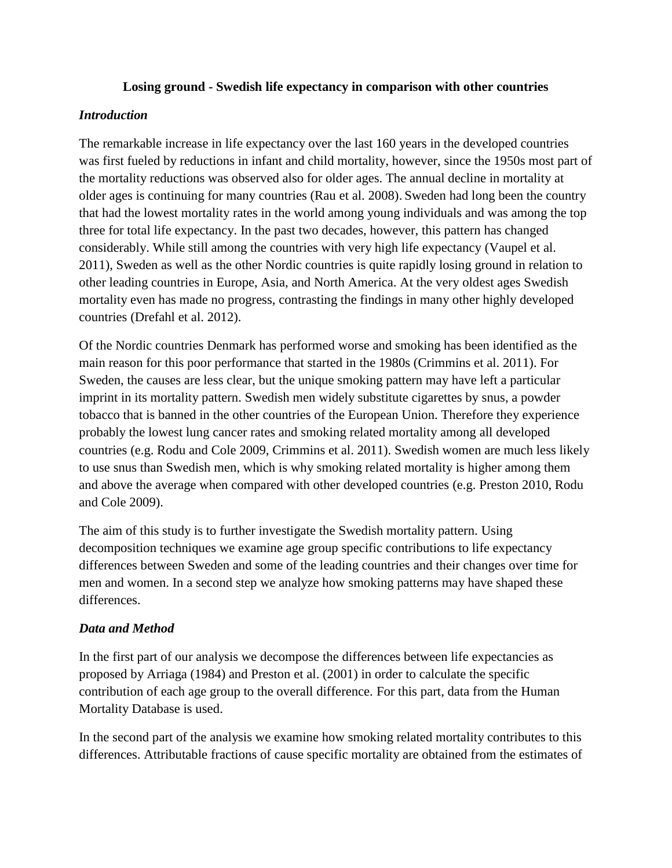## **Losing ground - Swedish life expectancy in comparison with other countries**

## *Introduction*

The remarkable increase in life expectancy over the last 160 years in the developed countries was first fueled by reductions in infant and child mortality, however, since the 1950s most part of the mortality reductions was observed also for older ages. The annual decline in mortality at older ages is continuing for many countries (Rau et al. 2008). Sweden had long been the country that had the lowest mortality rates in the world among young individuals and was among the top three for total life expectancy. In the past two decades, however, this pattern has changed considerably. While still among the countries with very high life expectancy (Vaupel et al. 2011), Sweden as well as the other Nordic countries is quite rapidly losing ground in relation to other leading countries in Europe, Asia, and North America. At the very oldest ages Swedish mortality even has made no progress, contrasting the findings in many other highly developed countries (Drefahl et al. 2012).

Of the Nordic countries Denmark has performed worse and smoking has been identified as the main reason for this poor performance that started in the 1980s (Crimmins et al. 2011). For Sweden, the causes are less clear, but the unique smoking pattern may have left a particular imprint in its mortality pattern. Swedish men widely substitute cigarettes by snus, a powder tobacco that is banned in the other countries of the European Union. Therefore they experience probably the lowest lung cancer rates and smoking related mortality among all developed countries (e.g. Rodu and Cole 2009, Crimmins et al. 2011). Swedish women are much less likely to use snus than Swedish men, which is why smoking related mortality is higher among them and above the average when compared with other developed countries (e.g. Preston 2010, Rodu and Cole 2009).

The aim of this study is to further investigate the Swedish mortality pattern. Using decomposition techniques we examine age group specific contributions to life expectancy differences between Sweden and some of the leading countries and their changes over time for men and women. In a second step we analyze how smoking patterns may have shaped these differences.

# *Data and Method*

In the first part of our analysis we decompose the differences between life expectancies as proposed by Arriaga (1984) and Preston et al. (2001) in order to calculate the specific contribution of each age group to the overall difference. For this part, data from the Human Mortality Database is used.

In the second part of the analysis we examine how smoking related mortality contributes to this differences. Attributable fractions of cause specific mortality are obtained from the estimates of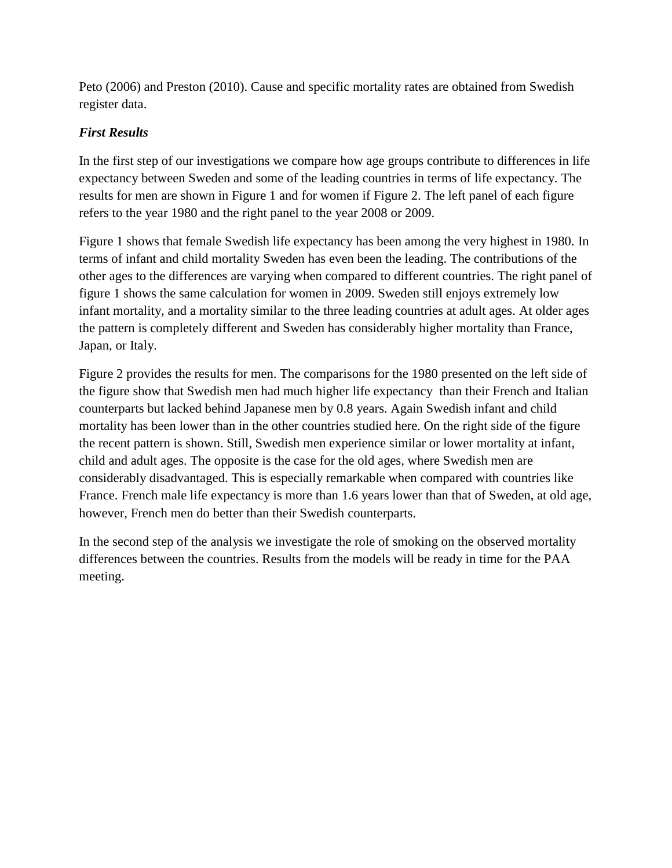Peto (2006) and Preston (2010). Cause and specific mortality rates are obtained from Swedish register data.

# *First Results*

In the first step of our investigations we compare how age groups contribute to differences in life expectancy between Sweden and some of the leading countries in terms of life expectancy. The results for men are shown in Figure 1 and for women if Figure 2. The left panel of each figure refers to the year 1980 and the right panel to the year 2008 or 2009.

Figure 1 shows that female Swedish life expectancy has been among the very highest in 1980. In terms of infant and child mortality Sweden has even been the leading. The contributions of the other ages to the differences are varying when compared to different countries. The right panel of figure 1 shows the same calculation for women in 2009. Sweden still enjoys extremely low infant mortality, and a mortality similar to the three leading countries at adult ages. At older ages the pattern is completely different and Sweden has considerably higher mortality than France, Japan, or Italy.

Figure 2 provides the results for men. The comparisons for the 1980 presented on the left side of the figure show that Swedish men had much higher life expectancy than their French and Italian counterparts but lacked behind Japanese men by 0.8 years. Again Swedish infant and child mortality has been lower than in the other countries studied here. On the right side of the figure the recent pattern is shown. Still, Swedish men experience similar or lower mortality at infant, child and adult ages. The opposite is the case for the old ages, where Swedish men are considerably disadvantaged. This is especially remarkable when compared with countries like France. French male life expectancy is more than 1.6 years lower than that of Sweden, at old age, however, French men do better than their Swedish counterparts.

In the second step of the analysis we investigate the role of smoking on the observed mortality differences between the countries. Results from the models will be ready in time for the PAA meeting.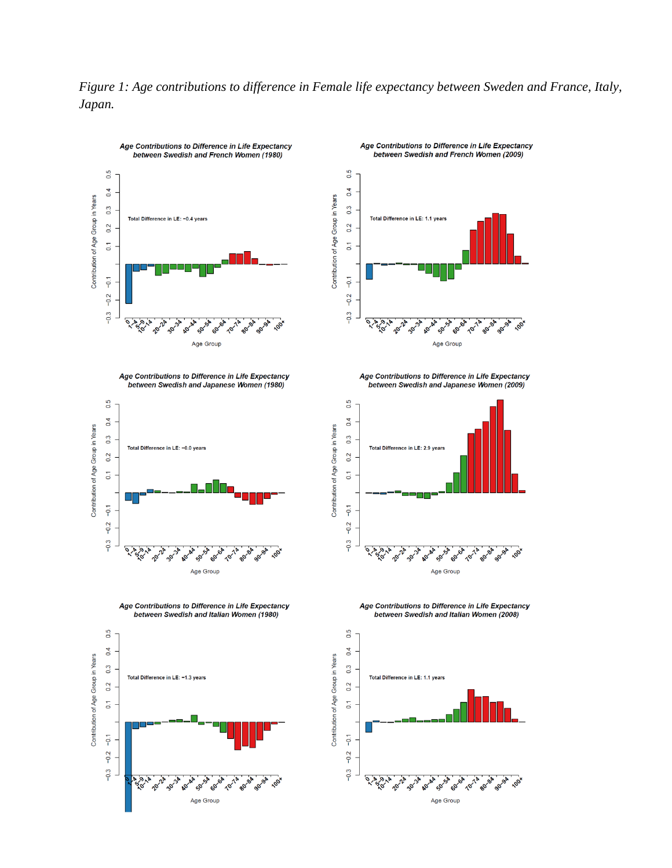



Age Contributions to Difference in Life Expectancy





Age Contributions to Difference in Life Expectancy between Swedish and Italian Women (1980)





Age Contributions to Difference in Life Expectancy between Swedish and Japanese Women (2009)



Age Contributions to Difference in Life Expectancy between Swedish and Italian Women (2008)

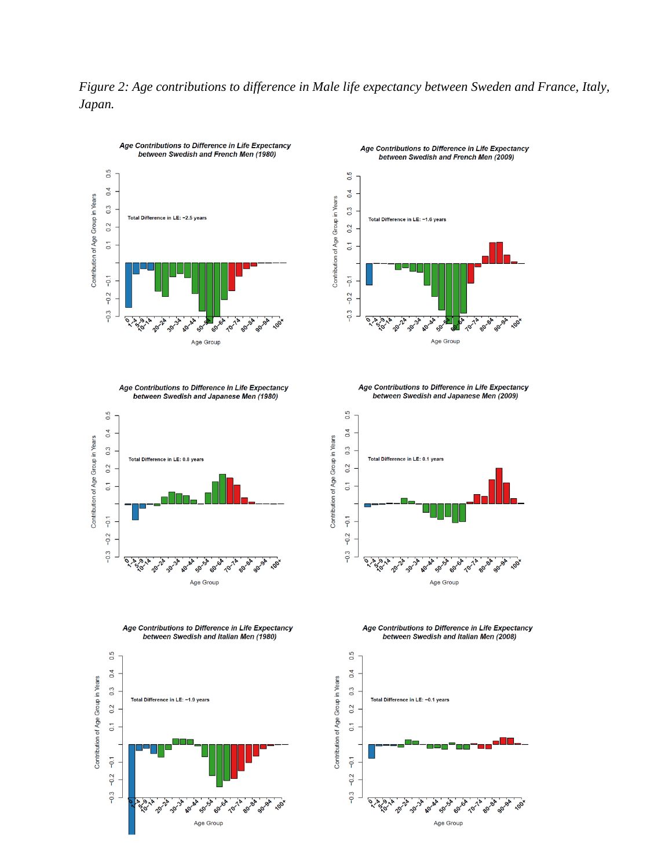



Age Contributions to Difference in Life Expectancy

Contribution of Age Group in Years

 $0.5$ 

 $0.4$ 

 $0.\overline{3}$ 



Total Difference in LE: −1.6 years

Age Contributions to Difference in Life Expectancy

between Swedish and French Men (2009)

Age Contributions to Difference in Life Expectancy between Swedish and Japanese Men (1980)



Age Contributions to Difference in Life Expectancy between Swedish and Japanese Men (2009)



Age Contributions to Difference in Life Expectancy between Swedish and Italian Men (1980)



Age Contributions to Difference in Life Expectancy between Swedish and Italian Men (2008)



Contribution of Age Group in Years

Age Group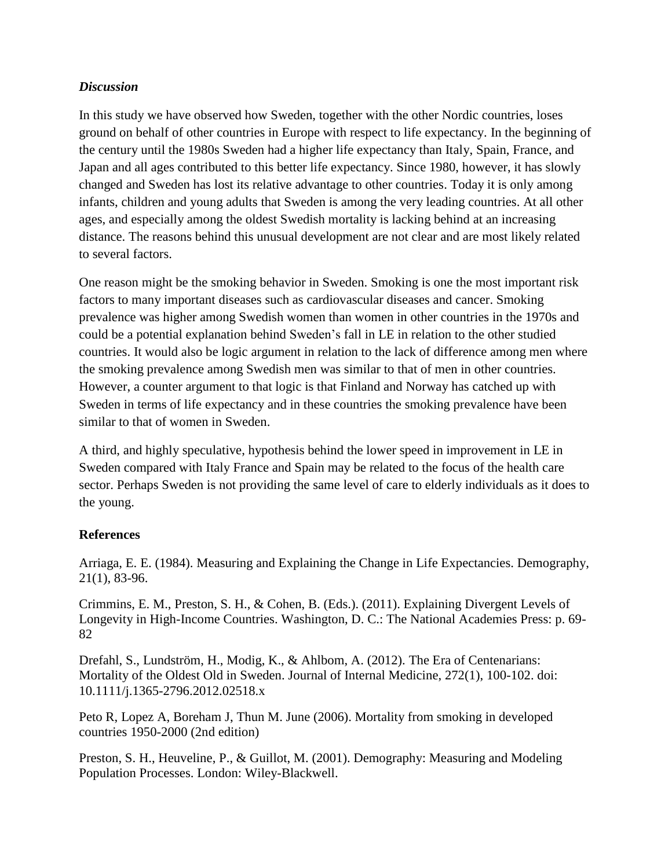# *Discussion*

In this study we have observed how Sweden, together with the other Nordic countries, loses ground on behalf of other countries in Europe with respect to life expectancy. In the beginning of the century until the 1980s Sweden had a higher life expectancy than Italy, Spain, France, and Japan and all ages contributed to this better life expectancy. Since 1980, however, it has slowly changed and Sweden has lost its relative advantage to other countries. Today it is only among infants, children and young adults that Sweden is among the very leading countries. At all other ages, and especially among the oldest Swedish mortality is lacking behind at an increasing distance. The reasons behind this unusual development are not clear and are most likely related to several factors.

One reason might be the smoking behavior in Sweden. Smoking is one the most important risk factors to many important diseases such as cardiovascular diseases and cancer. Smoking prevalence was higher among Swedish women than women in other countries in the 1970s and could be a potential explanation behind Sweden's fall in LE in relation to the other studied countries. It would also be logic argument in relation to the lack of difference among men where the smoking prevalence among Swedish men was similar to that of men in other countries. However, a counter argument to that logic is that Finland and Norway has catched up with Sweden in terms of life expectancy and in these countries the smoking prevalence have been similar to that of women in Sweden.

A third, and highly speculative, hypothesis behind the lower speed in improvement in LE in Sweden compared with Italy France and Spain may be related to the focus of the health care sector. Perhaps Sweden is not providing the same level of care to elderly individuals as it does to the young.

# **References**

Arriaga, E. E. (1984). Measuring and Explaining the Change in Life Expectancies. Demography, 21(1), 83-96.

Crimmins, E. M., Preston, S. H., & Cohen, B. (Eds.). (2011). Explaining Divergent Levels of Longevity in High-Income Countries. Washington, D. C.: The National Academies Press: p. 69- 82

Drefahl, S., Lundström, H., Modig, K., & Ahlbom, A. (2012). The Era of Centenarians: Mortality of the Oldest Old in Sweden. Journal of Internal Medicine, 272(1), 100-102. doi: 10.1111/j.1365-2796.2012.02518.x

Peto R, Lopez A, Boreham J, Thun M. June (2006). Mortality from smoking in developed countries 1950-2000 (2nd edition)

Preston, S. H., Heuveline, P., & Guillot, M. (2001). Demography: Measuring and Modeling Population Processes. London: Wiley-Blackwell.